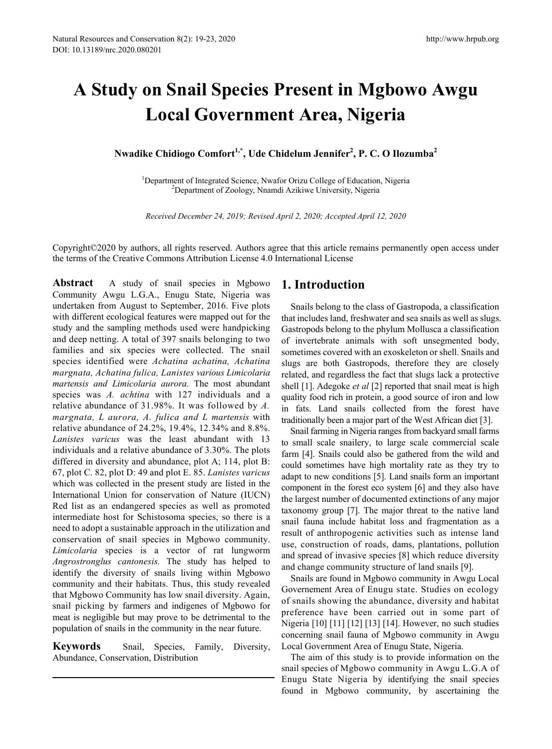# **A Study on Snail Species Present in Mgbowo Awgu Local Government Area, Nigeria**

**Nwadike Chidiogo Comfort1,\*, Ude Chidelum Jennifer2 , P. C. O Ilozumba<sup>2</sup>**

<sup>1</sup>Department of Integrated Science, Nwafor Orizu College of Education, Nigeria<br><sup>2</sup>Department of Zoology, Nuamdi Azikiwe University, Nigeria <sup>2</sup>Department of Zoology, Nnamdi Azikiwe University, Nigeria

*Received December 24, 2019; Revised April 2, 2020; Accepted April 12, 2020* 

Copyright©2020 by authors, all rights reserved. Authors agree that this article remains permanently open access under the terms of the Creative Commons Attribution License 4.0 International License

**Abstract** A study of snail species in Mgbowo Community Awgu L.G.A., Enugu State, Nigeria was undertaken from August to September, 2016. Five plots with different ecological features were mapped out for the study and the sampling methods used were handpicking and deep netting. A total of 397 snails belonging to two families and six species were collected. The snail species identified were *Achatina achatina, Achatina margnata, Achatina fulica, Lanistes various Limicolaria martensis and Limicolaria aurora.* The most abundant species was *A. achtina* with 127 individuals and a relative abundance of 31.98%. It was followed by *A. margnata, L aurora, A. fulica and L martensis* with relative abundance of 24.2%, 19.4%, 12.34% and 8.8%. *Lanistes varicus* was the least abundant with 13 individuals and a relative abundance of 3.30%. The plots differed in diversity and abundance, plot A; 114, plot B: 67, plot C. 82, plot D: 49 and plot E. 85. *Lanistes varicus*  which was collected in the present study are listed in the International Union for conservation of Nature (IUCN) Red list as an endangered species as well as promoted intermediate host for Schistosoma species, so there is a need to adopt a sustainable approach in the utilization and conservation of snail species in Mgbowo community. *Limicolaria* species is a vector of rat lungworm *Angrostronglus cantonesis.* The study has helped to identify the diversity of snails living within Mgbowo community and their habitats. Thus, this study revealed that Mgbowo Community has low snail diversity. Again, snail picking by farmers and indigenes of Mgbowo for meat is negligible but may prove to be detrimental to the population of snails in the community in the near future.

**Keywords** Snail, Species, Family, Diversity, Abundance, Conservation, Distribution

## **1. Introduction**

Snails belong to the class of Gastropoda, a classification that includes land, freshwater and sea snails as well as slugs. Gastropods belong to the phylum Mollusca a classification of invertebrate animals with soft unsegmented body, sometimes covered with an exoskeleton or shell. Snails and slugs are both Gastropods, therefore they are closely related, and regardless the fact that slugs lack a protective shell [1]. Adegoke *et al* [2] reported that snail meat is high quality food rich in protein, a good source of iron and low in fats. Land snails collected from the forest have traditionally been a major part of the West African diet [3].

Snail farming in Nigeria ranges from backyard small farms to small scale snailery, to large scale commercial scale farm [4]. Snails could also be gathered from the wild and could sometimes have high mortality rate as they try to adapt to new conditions [5]. Land snails form an important component in the forest eco system [6] and they also have the largest number of documented extinctions of any major taxonomy group [7]. The major threat to the native land snail fauna include habitat loss and fragmentation as a result of anthropogenic activities such as intense land use, construction of roads, dams, plantations, pollution and spread of invasive species [8] which reduce diversity and change community structure of land snails [9].

Snails are found in Mgbowo community in Awgu Local Governement Area of Enugu state. Studies on ecology of snails showing the abundance, diversity and habitat preference have been carried out in some part of Nigeria [10] [11] [12] [13] [14]. However, no such studies concerning snail fauna of Mgbowo community in Awgu Local Government Area of Enugu State, Nigeria.

The aim of this study is to provide information on the snail species of Mgbowo community in Awgu L.G.A of Enugu State Nigeria by identifying the snail species found in Mgbowo community, by ascertaining the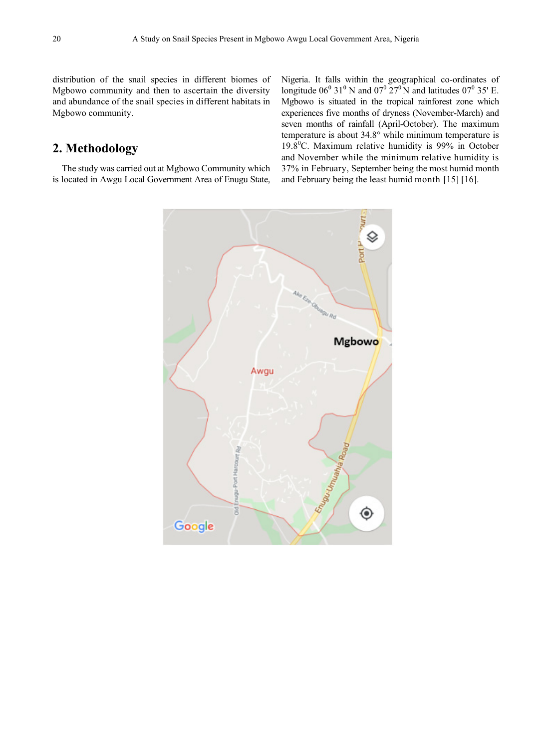distribution of the snail species in different biomes of Mgbowo community and then to ascertain the diversity and abundance of the snail species in different habitats in Mgbowo community.

# **2. Methodology**

The study was carried out at Mgbowo Community which is located in Awgu Local Government Area of Enugu State, Nigeria. It falls within the geographical co-ordinates of longitude  $06^{\circ}$  31<sup>°</sup> N and  $07^{\circ}$  27<sup>°</sup> N and latitudes  $07^{\circ}$  35' E. Mgbowo is situated in the tropical rainforest zone which experiences five months of dryness (November-March) and seven months of rainfall (April-October). The maximum temperature is about 34.8° while minimum temperature is 19.8 $^0$ C. Maximum relative humidity is 99% in October and November while the minimum relative humidity is 37% in February, September being the most humid month and February being the least humid month [15] [16].

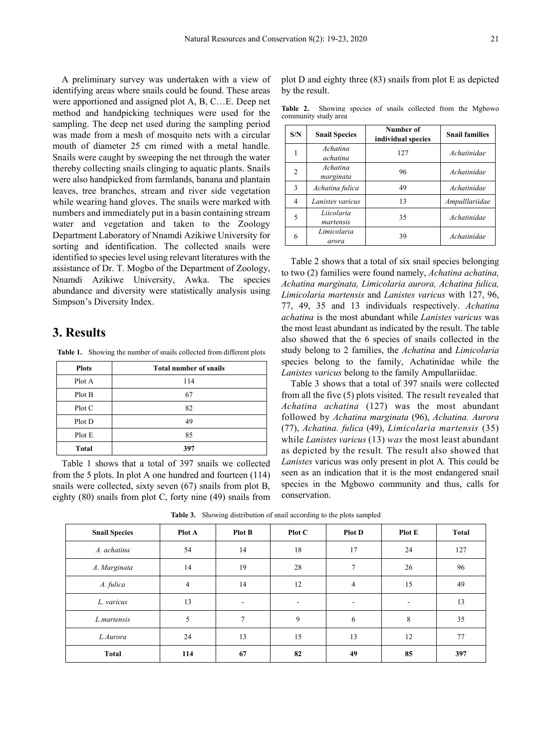A preliminary survey was undertaken with a view of identifying areas where snails could be found. These areas were apportioned and assigned plot A, B, C…E. Deep net method and handpicking techniques were used for the sampling. The deep net used during the sampling period was made from a mesh of mosquito nets with a circular mouth of diameter 25 cm rimed with a metal handle. Snails were caught by sweeping the net through the water thereby collecting snails clinging to aquatic plants. Snails were also handpicked from farmlands, banana and plantain leaves, tree branches, stream and river side vegetation while wearing hand gloves. The snails were marked with numbers and immediately put in a basin containing stream water and vegetation and taken to the Zoology Department Laboratory of Nnamdi Azikiwe University for sorting and identification. The collected snails were identified to species level using relevant literatures with the assistance of Dr. T. Mogbo of the Department of Zoology, Nnamdi Azikiwe University, Awka. The species abundance and diversity were statistically analysis using Simpson's Diversity Index.

# **3. Results**

**Table 1.** Showing the number of snails collected from different plots

| <b>Plots</b> | <b>Total number of snails</b> |
|--------------|-------------------------------|
| Plot A       | 114                           |
| Plot B       | 67                            |
| Plot C       | 82                            |
| Plot D       | 49                            |
| Plot E       | 85                            |
| <b>Total</b> | 397                           |

Table 1 shows that a total of 397 snails we collected from the 5 plots. In plot A one hundred and fourteen (114) snails were collected, sixty seven (67) snails from plot B, eighty (80) snails from plot C, forty nine (49) snails from plot D and eighty three (83) snails from plot E as depicted by the result.

**Table 2.** Showing species of snails collected from the Mgbowo community study area

| S/N            | <b>Snail Species</b>    | Number of<br>individual species | <b>Snail families</b> |
|----------------|-------------------------|---------------------------------|-----------------------|
|                | Achatina<br>achatina    | 127                             | Achatinidae           |
| $\overline{2}$ | Achatina<br>marginata   | 96                              | Achatinidae           |
| 3              | Achatina fulica         | 49                              | Achatinidae           |
| 4              | Lanistes varicus        | 13                              | Ampulllariidae        |
| 5              | Liicolaria<br>martensis | 35                              | Achatinidae           |
| 6              | Limicolaria<br>arora    | 39                              | Achatinidae           |

Table 2 shows that a total of six snail species belonging to two (2) families were found namely, *Achatina achatina, Achatina marginata, Limicolaria aurora, Achatina fulica, Limicolaria martensis* and *Lanistes varicus* with 127, 96, 77, 49, 35 and 13 individuals respectively. *Achatina achatina* is the most abundant while *Lanistes varicus* was the most least abundant as indicated by the result. The table also showed that the 6 species of snails collected in the study belong to 2 families, the *Achatina* and *Limicolaria*  species belong to the family, Achatinidae while the *Lanistes varicus* belong to the family Ampullariidae.

Table 3 shows that a total of 397 snails were collected from all the five (5) plots visited. The result revealed that *Achatina achatina* (127) was the most abundant followed by *Achatina marginata* (96), *Achatina. Aurora*  (77), *Achatina. fulica* (49), *Limicolaria martensis* (35) while *Lanistes varicus* (13) *was* the most least abundant as depicted by the result*.* The result also showed that *Lanistes* varicus was only present in plot A*.* This could be seen as an indication that it is the most endangered snail species in the Mgbowo community and thus, calls for conservation.

| <b>Snail Species</b> | Plot A | Plot B                   | Plot C | <b>Plot D</b>            | Plot E                   | Total |
|----------------------|--------|--------------------------|--------|--------------------------|--------------------------|-------|
| A. achatina          | 54     | 14                       | 18     | 17                       | 24                       | 127   |
| A. Marginata         | 14     | 19                       | 28     | 7                        | 26                       | 96    |
| A. fulica            | 4      | 14                       | 12     | 4                        | 15                       | 49    |
| L. varicus           | 13     | $\overline{\phantom{a}}$ | ۰      | $\overline{\phantom{a}}$ | $\overline{\phantom{a}}$ | 13    |
| L.martensis          | 5      | $\overline{7}$           | 9      | 6                        | 8                        | 35    |
| L.Aurora             | 24     | 13                       | 15     | 13                       | 12                       | 77    |
| <b>Total</b>         | 114    | 67                       | 82     | 49                       | 85                       | 397   |

**Table 3.** Showing distribution of snail according to the plots sampled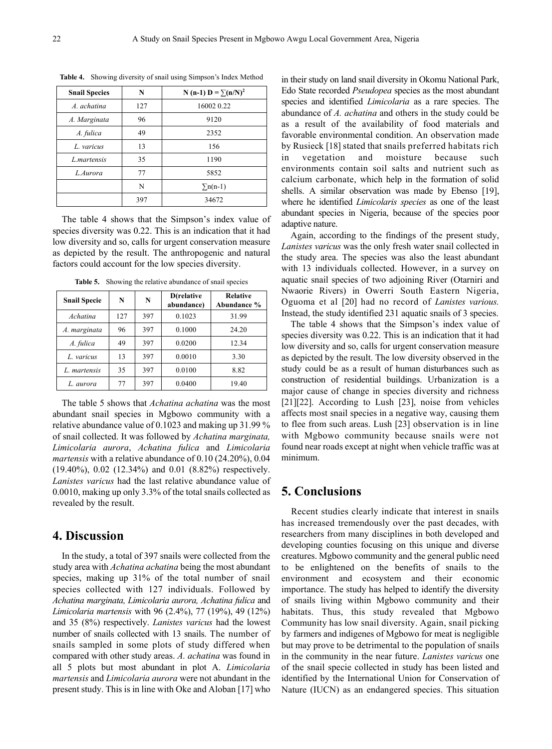| <b>Snail Species</b> | N   | N (n-1) D = $\Sigma(n/N)^2$ |
|----------------------|-----|-----------------------------|
| A. achatina          | 127 | 16002 0.22                  |
| A. Marginata         | 96  | 9120                        |
| A. fulica            | 49  | 2352                        |
| L. varicus           | 13  | 156                         |
| L. martensis         | 35  | 1190                        |
| L. Aurora            | 77  | 5852                        |
|                      | N   | $\sum n(n-1)$               |
|                      | 397 | 34672                       |

**Table 4.** Showing diversity of snail using Simpson's Index Method

The table 4 shows that the Simpson's index value of species diversity was 0.22. This is an indication that it had low diversity and so, calls for urgent conservation measure as depicted by the result. The anthropogenic and natural factors could account for the low species diversity.

**Table 5.** Showing the relative abundance of snail species

| <b>Snail Specie</b> | N   | N   | D(relative<br>abundance) | <b>Relative</b><br>Abundance % |
|---------------------|-----|-----|--------------------------|--------------------------------|
| Achatina            | 127 | 397 | 0.1023                   | 31.99                          |
| A. marginata        | 96  | 397 | 0.1000                   | 24.20                          |
| A. fulica           | 49  | 397 | 0.0200                   | 12.34                          |
| L. varicus          | 13  | 397 | 0.0010                   | 3.30                           |
| L. martensis        | 35  | 397 | 0.0100                   | 8.82                           |
| L. aurora           | 77  | 397 | 0.0400                   | 19.40                          |

The table 5 shows that *Achatina achatina* was the most abundant snail species in Mgbowo community with a relative abundance value of 0.1023 and making up 31.99 % of snail collected. It was followed by *Achatina marginata, Limicolaria aurora*, *Achatina fulica* and *Limicolaria martensis* with a relative abundance of 0.10 (24.20%), 0.04 (19.40%), 0.02 (12.34%) and 0.01 (8.82%) respectively. *Lanistes varicus* had the last relative abundance value of 0.0010, making up only 3.3% of the total snails collected as revealed by the result.

#### **4. Discussion**

In the study, a total of 397 snails were collected from the study area with *Achatina achatina* being the most abundant species, making up 31% of the total number of snail species collected with 127 individuals. Followed by *Achatina marginata, Limicolaria aurora, Achatina fulica* and *Limicolaria martensis* with 96 (2.4%), 77 (19%), 49 (12%) and 35 (8%) respectively. *Lanistes varicus* had the lowest number of snails collected with 13 snails. The number of snails sampled in some plots of study differed when compared with other study areas. *A. achatina* was found in all 5 plots but most abundant in plot A. *Limicolaria martensis* and *Limicolaria aurora* were not abundant in the present study. This is in line with Oke and Aloban [17] who

in their study on land snail diversity in Okomu National Park, Edo State recorded *Pseudopea* species as the most abundant species and identified *Limicolaria* as a rare species. The abundance of *A. achatina* and others in the study could be as a result of the availability of food materials and favorable environmental condition. An observation made by Rusieck [18] stated that snails preferred habitats rich in vegetation and moisture because such environments contain soil salts and nutrient such as calcium carbonate, which help in the formation of solid shells. A similar observation was made by Ebenso [19], where he identified *Limicolaris species* as one of the least abundant species in Nigeria, because of the species poor adaptive nature.

Again, according to the findings of the present study, *Lanistes varicus* was the only fresh water snail collected in the study area. The species was also the least abundant with 13 individuals collected. However, in a survey on aquatic snail species of two adjoining River (Otarniri and Nwaorie Rivers) in Owerri South Eastern Nigeria, Oguoma et al [20] had no record of *Lanistes various.*  Instead, the study identified 231 aquatic snails of 3 species.

The table 4 shows that the Simpson's index value of species diversity was 0.22. This is an indication that it had low diversity and so, calls for urgent conservation measure as depicted by the result. The low diversity observed in the study could be as a result of human disturbances such as construction of residential buildings. Urbanization is a major cause of change in species diversity and richness [21][22]. According to Lush [23], noise from vehicles affects most snail species in a negative way, causing them to flee from such areas. Lush [23] observation is in line with Mgbowo community because snails were not found near roads except at night when vehicle traffic was at minimum.

#### **5. Conclusions**

Recent studies clearly indicate that interest in snails has increased tremendously over the past decades, with researchers from many disciplines in both developed and developing counties focusing on this unique and diverse creatures. Mgbowo community and the general public need to be enlightened on the benefits of snails to the environment and ecosystem and their economic importance. The study has helped to identify the diversity of snails living within Mgbowo community and their habitats. Thus, this study revealed that Mgbowo Community has low snail diversity. Again, snail picking by farmers and indigenes of Mgbowo for meat is negligible but may prove to be detrimental to the population of snails in the community in the near future. *Lanistes varicus* one of the snail specie collected in study has been listed and identified by the International Union for Conservation of Nature (IUCN) as an endangered species. This situation